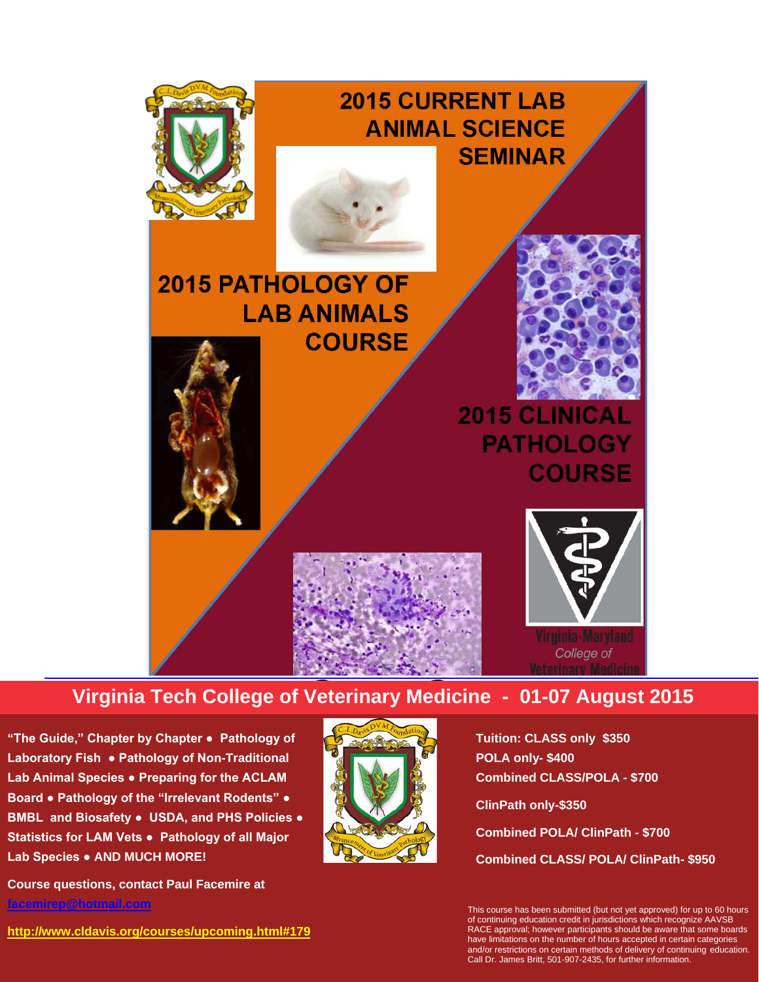

# **Virginia Tech College of Veterinary Medicine - 01-07 August 2015**

**'The Guide," Chapter by Chapter • Pathology of Laboratory Fish ● Pathology of Non-Traditional Lab Animal Species ● Preparing for the ACLAM Board ● Pathology of the "Irrelevant Rodents" ● BMBL and Biosafety ● USDA, and PHS Policies ● Statistics for LAM Vets ● Pathology of all Major Lab Species ● AND MUCH MORE!**

**Course questions, contact Paul Facemire at [facemirep@hotmail.com](mailto:facemirep@hotmail.com)**





**Tuition: CLASS only \$350 POLA only- \$400 Combined CLASS/POLA - \$700 ClinPath only-\$350 Combined POLA/ ClinPath - \$700 Combined CLASS/ POLA/ ClinPath- \$950**

This course has been submitted (but not yet approved) for up to 60 hours of continuing education credit in jurisdictions which recognize AAVSB RACE approval; however participants should be aware that some boards have limitations on the number of hours accepted in certain categories and/or restrictions on certain methods of delivery of continuing education. Call Dr. James Britt, 501-907-2435, for further information.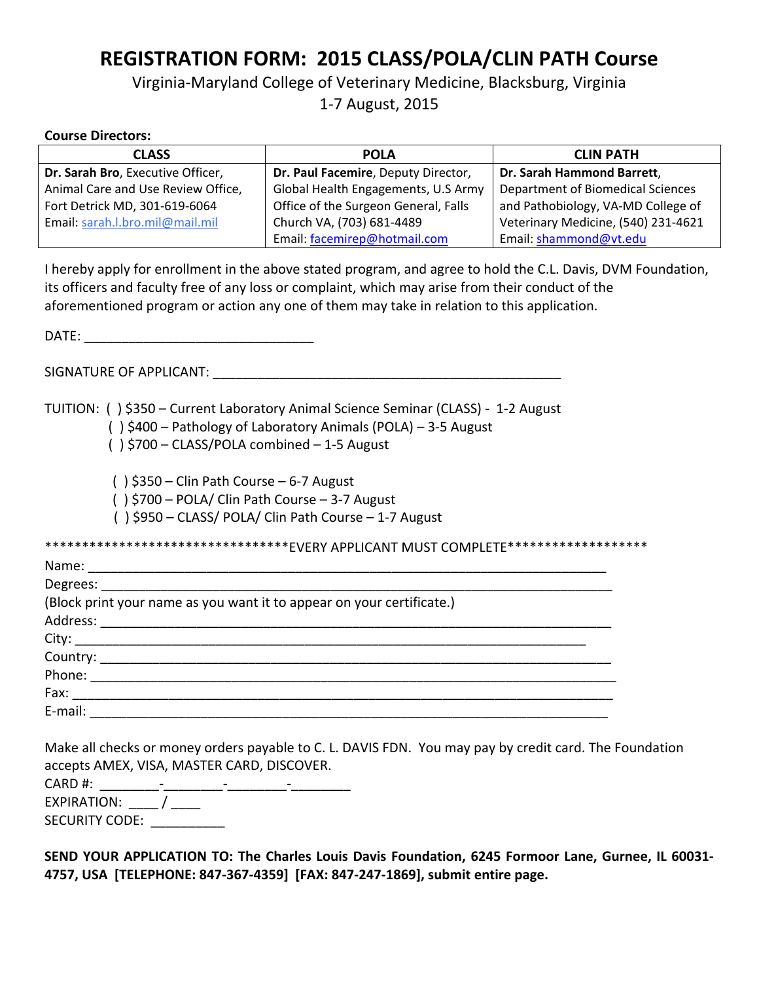# **REGISTRATION FORM: 2015 CLASS/POLA/CLIN PATH Course**

## Virginia-Maryland College of Veterinary Medicine, Blacksburg, Virginia 1-7 August, 2015

#### **Course Directors:**

| <b>CLASS</b>                       | <b>POLA</b>                          | <b>CLIN PATH</b>                         |
|------------------------------------|--------------------------------------|------------------------------------------|
| Dr. Sarah Bro, Executive Officer,  | Dr. Paul Facemire, Deputy Director,  | Dr. Sarah Hammond Barrett,               |
| Animal Care and Use Review Office, | Global Health Engagements, U.S Army  | <b>Department of Biomedical Sciences</b> |
| Fort Detrick MD, 301-619-6064      | Office of the Surgeon General, Falls | and Pathobiology, VA-MD College of       |
| Email: sarah.l.bro.mil@mail.mil    | Church VA, (703) 681-4489            | Veterinary Medicine, (540) 231-4621      |
|                                    | Email: facemirep@hotmail.com         | Email: shammond@vt.edu                   |

I hereby apply for enrollment in the above stated program, and agree to hold the C.L. Davis, DVM Foundation, its officers and faculty free of any loss or complaint, which may arise from their conduct of the aforementioned program or action any one of them may take in relation to this application.

DATE: \_\_\_\_\_\_\_\_\_\_\_\_\_\_\_\_\_\_\_\_\_\_\_\_\_\_\_\_\_\_\_

SIGNATURE OF APPLICANT: **We are also asset to a set of a set of a** 

TUITION: ( ) \$350 – Current Laboratory Animal Science Seminar (CLASS) - 1-2 August

( ) \$400 – Pathology of Laboratory Animals (POLA) – 3-5 August

( ) \$700 – CLASS/POLA combined – 1-5 August

 $( )$ \$350 – Clin Path Course – 6-7 August

( ) \$700 – POLA/ Clin Path Course – 3-7 August

( ) \$950 – CLASS/ POLA/ Clin Path Course – 1-7 August

\*\*\*\*\*\*\*\*\*\*\*\*\*\*\*\*\*\*\*\*\*\*\*\*\*\*\*\*\*\*\*\*\*EVERY APPLICANT MUST COMPLETE\*\*\*\*\*\*\*\*\*\*\*\*\*\*\*\*\*\*\*

| (Block print your name as you want it to appear on your certificate.) |  |
|-----------------------------------------------------------------------|--|
|                                                                       |  |
|                                                                       |  |
|                                                                       |  |
|                                                                       |  |
| Fax: ___________________                                              |  |
| E-mail: <u>_____________</u>                                          |  |
|                                                                       |  |

Make all checks or money orders payable to C. L. DAVIS FDN. You may pay by credit card. The Foundation accepts AMEX, VISA, MASTER CARD, DISCOVER.

CARD #: \_\_\_\_\_\_\_\_-\_\_\_\_\_\_\_\_-\_\_\_\_\_\_\_\_-\_\_\_\_\_\_\_\_ EXPIRATION:  $\frac{1}{\sqrt{2}}$ SECURITY CODE:

**SEND YOUR APPLICATION TO: The Charles Louis Davis Foundation, 6245 Formoor Lane, Gurnee, IL 60031- 4757, USA [TELEPHONE: 847-367-4359] [FAX: 847-247-1869], submit entire page.**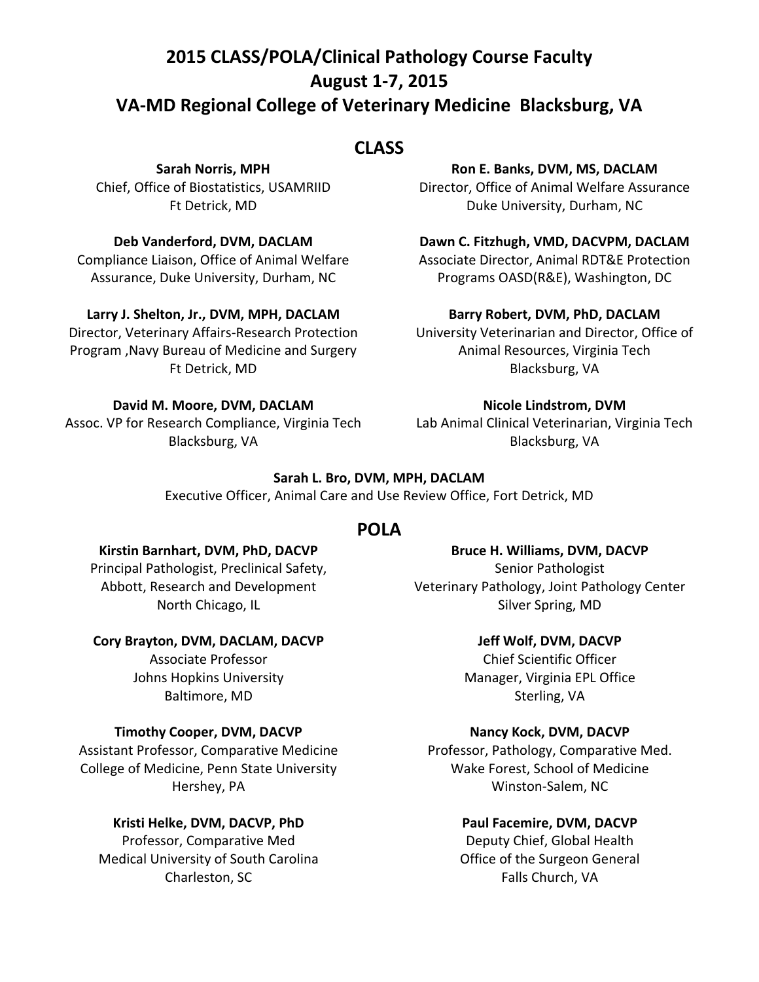# **2015 CLASS/POLA/Clinical Pathology Course Faculty August 1-7, 2015 VA-MD Regional College of Veterinary Medicine Blacksburg, VA**

## **CLASS**

**Sarah Norris, MPH** Chief, Office of Biostatistics, USAMRIID Ft Detrick, MD

#### **Deb Vanderford, DVM, DACLAM**

Compliance Liaison, Office of Animal Welfare Assurance, Duke University, Durham, NC

#### **Larry J. Shelton, Jr., DVM, MPH, DACLAM**

Director, Veterinary Affairs-Research Protection Program ,Navy Bureau of Medicine and Surgery Ft Detrick, MD

#### **David M. Moore, DVM, DACLAM**

Assoc. VP for Research Compliance, Virginia Tech Blacksburg, VA

#### **Ron E. Banks, DVM, MS, DACLAM**

Director, Office of Animal Welfare Assurance Duke University, Durham, NC

#### **Dawn C. Fitzhugh, VMD, DACVPM, DACLAM**

Associate Director, Animal RDT&E Protection Programs OASD(R&E), Washington, DC

#### **Barry Robert, DVM, PhD, DACLAM**

University Veterinarian and Director, Office of Animal Resources, Virginia Tech Blacksburg, VA

#### **Nicole Lindstrom, DVM**

Lab Animal Clinical Veterinarian, Virginia Tech Blacksburg, VA

#### **Sarah L. Bro, DVM, MPH, DACLAM**

Executive Officer, Animal Care and Use Review Office, Fort Detrick, MD

#### **POLA**

#### **Kirstin Barnhart, DVM, PhD, DACVP**

Principal Pathologist, Preclinical Safety, Abbott, Research and Development North Chicago, IL

#### **Cory Brayton, DVM, DACLAM, DACVP**

Associate Professor Johns Hopkins University Baltimore, MD

#### **Timothy Cooper, DVM, DACVP**

Assistant Professor, Comparative Medicine College of Medicine, Penn State University Hershey, PA

#### **Kristi Helke, DVM, DACVP, PhD**

Professor, Comparative Med Medical University of South Carolina Charleston, SC

**Bruce H. Williams, DVM, DACVP** Senior Pathologist Veterinary Pathology, Joint Pathology Center Silver Spring, MD

#### **Jeff Wolf, DVM, DACVP**

Chief Scientific Officer Manager, Virginia EPL Office Sterling, VA

#### **Nancy Kock, DVM, DACVP**

Professor, Pathology, Comparative Med. Wake Forest, School of Medicine Winston-Salem, NC

#### **Paul Facemire, DVM, DACVP**

Deputy Chief, Global Health Office of the Surgeon General Falls Church, VA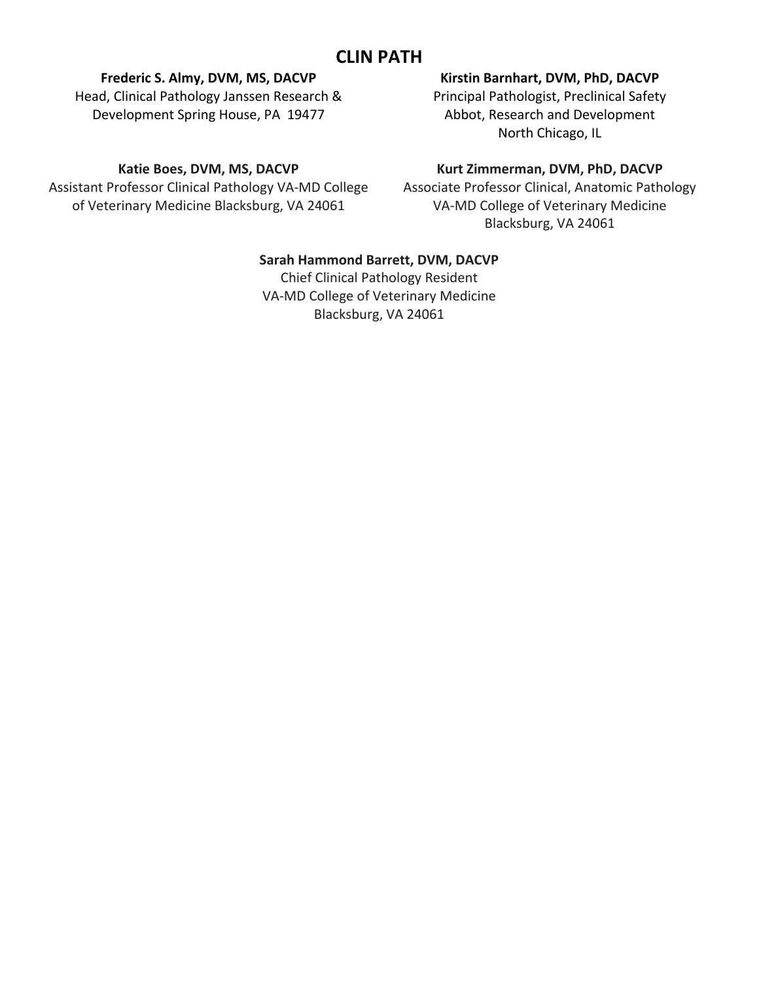## **CLIN PATH**

#### **Frederic S. Almy, DVM, MS, DACVP**

Head, Clinical Pathology Janssen Research & Development Spring House, PA 19477

#### **Kirstin Barnhart, DVM, PhD, DACVP**

Principal Pathologist, Preclinical Safety Abbot, Research and Development North Chicago, IL

#### **Katie Boes, DVM, MS, DACVP**

Assistant Professor Clinical Pathology VA-MD College of Veterinary Medicine Blacksburg, VA 24061

#### **Kurt Zimmerman, DVM, PhD, DACVP**

Associate Professor Clinical, Anatomic Pathology VA-MD College of Veterinary Medicine Blacksburg, VA 24061

#### **Sarah Hammond Barrett, DVM, DACVP**

Chief Clinical Pathology Resident VA-MD College of Veterinary Medicine Blacksburg, VA 24061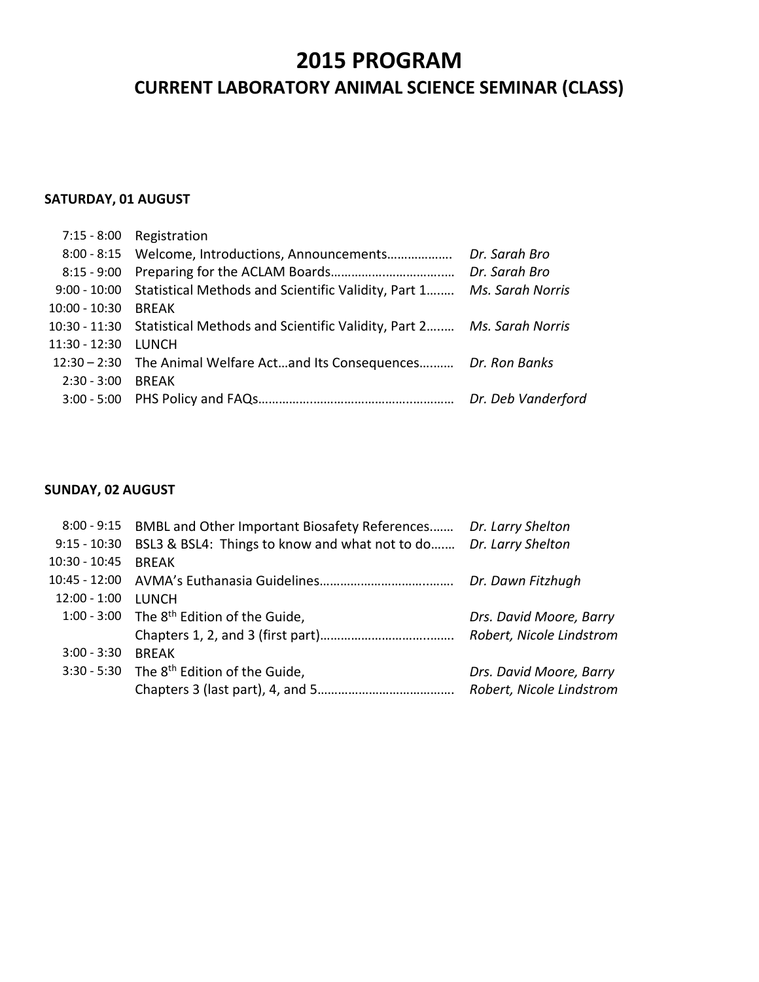# **2015 PROGRAM CURRENT LABORATORY ANIMAL SCIENCE SEMINAR (CLASS)**

#### **SATURDAY, 01 AUGUST**

|                     | 7:15 - 8:00 Registration                                                           |                    |
|---------------------|------------------------------------------------------------------------------------|--------------------|
|                     | 8:00 - 8:15 Welcome, Introductions, Announcements                                  | Dr. Sarah Bro      |
|                     |                                                                                    | Dr. Sarah Bro      |
|                     | 9:00 - 10:00 Statistical Methods and Scientific Validity, Part 1 Ms. Sarah Norris  |                    |
| 10:00 - 10:30 BREAK |                                                                                    |                    |
|                     | 10:30 - 11:30 Statistical Methods and Scientific Validity, Part 2 Ms. Sarah Norris |                    |
| 11:30 - 12:30 LUNCH |                                                                                    |                    |
|                     | 12:30 - 2:30 The Animal Welfare Actand Its Consequences Dr. Ron Banks              |                    |
| 2:30 - 3:00 BREAK   |                                                                                    |                    |
|                     |                                                                                    | Dr. Deb Vanderford |

#### **SUNDAY, 02 AUGUST**

|                 | 8:00 - 9:15 BMBL and Other Important Biosafety References Dr. Larry Shelton |                          |
|-----------------|-----------------------------------------------------------------------------|--------------------------|
| $9:15 - 10:30$  | BSL3 & BSL4: Things to know and what not to do Dr. Larry Shelton            |                          |
| $10:30 - 10:45$ | <b>BRFAK</b>                                                                |                          |
|                 |                                                                             | Dr. Dawn Fitzhugh        |
| 12:00 - 1:00    | <b>LUNCH</b>                                                                |                          |
|                 | 1:00 - 3:00 The 8 <sup>th</sup> Edition of the Guide,                       | Drs. David Moore, Barry  |
|                 |                                                                             | Robert, Nicole Lindstrom |
| $3:00 - 3:30$   | <b>BRFAK</b>                                                                |                          |
|                 | 3:30 - 5:30 The 8 <sup>th</sup> Edition of the Guide,                       | Drs. David Moore, Barry  |
|                 |                                                                             | Robert, Nicole Lindstrom |
|                 |                                                                             |                          |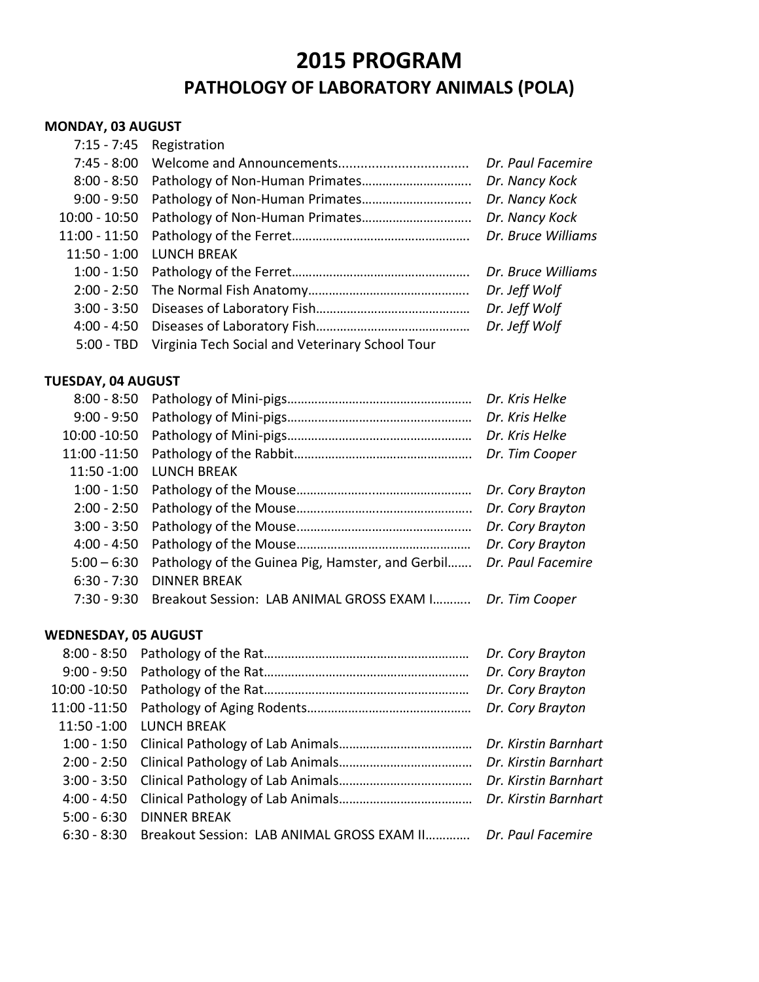# **2015 PROGRAM**

# **PATHOLOGY OF LABORATORY ANIMALS (POLA)**

#### **MONDAY, 03 AUGUST**

|               | 7:15 - 7:45 Registration                                   |                    |
|---------------|------------------------------------------------------------|--------------------|
|               |                                                            | Dr. Paul Facemire  |
| $8:00 - 8:50$ |                                                            | Dr. Nancy Kock     |
|               |                                                            | Dr. Nancy Kock     |
|               | 10:00 - 10:50 Pathology of Non-Human Primates              | Dr. Nancy Kock     |
|               |                                                            | Dr. Bruce Williams |
|               | 11:50 - 1:00 LUNCH BREAK                                   |                    |
|               |                                                            | Dr. Bruce Williams |
|               |                                                            | Dr. Jeff Wolf      |
|               |                                                            | Dr. Jeff Wolf      |
|               |                                                            | Dr. Jeff Wolf      |
|               | 5:00 - TBD Virginia Tech Social and Veterinary School Tour |                    |

#### **TUESDAY, 04 AUGUST**

| $8:00 - 8:50$ |                                                  | Dr. Kris Helke    |
|---------------|--------------------------------------------------|-------------------|
| $9:00 - 9:50$ |                                                  | Dr. Kris Helke    |
| 10:00 - 10:50 |                                                  | Dr. Kris Helke    |
| 11:00 -11:50  |                                                  | Dr. Tim Cooper    |
| 11:50 -1:00   | <b>LUNCH BREAK</b>                               |                   |
|               |                                                  | Dr. Cory Brayton  |
|               |                                                  | Dr. Cory Brayton  |
|               |                                                  | Dr. Cory Brayton  |
| $4:00 - 4:50$ |                                                  | Dr. Cory Brayton  |
| $5:00 - 6:30$ | Pathology of the Guinea Pig, Hamster, and Gerbil | Dr. Paul Facemire |
| $6:30 - 7:30$ | <b>DINNER BREAK</b>                              |                   |
| $7:30 - 9:30$ | Breakout Session: LAB ANIMAL GROSS EXAM I        | Dr. Tim Cooper    |
|               |                                                  |                   |

#### **WEDNESDAY, 05 AUGUST**

|                                                                          | Dr. Cory Brayton |
|--------------------------------------------------------------------------|------------------|
|                                                                          | Dr. Cory Brayton |
|                                                                          | Dr. Cory Brayton |
|                                                                          | Dr. Cory Brayton |
| 11:50 - 1:00 LUNCH BREAK                                                 |                  |
|                                                                          |                  |
|                                                                          |                  |
|                                                                          |                  |
|                                                                          |                  |
| 5:00 - 6:30 DINNER BREAK                                                 |                  |
| 6:30 - 8:30 Breakout Session: LAB ANIMAL GROSS EXAM II Dr. Paul Facemire |                  |
|                                                                          |                  |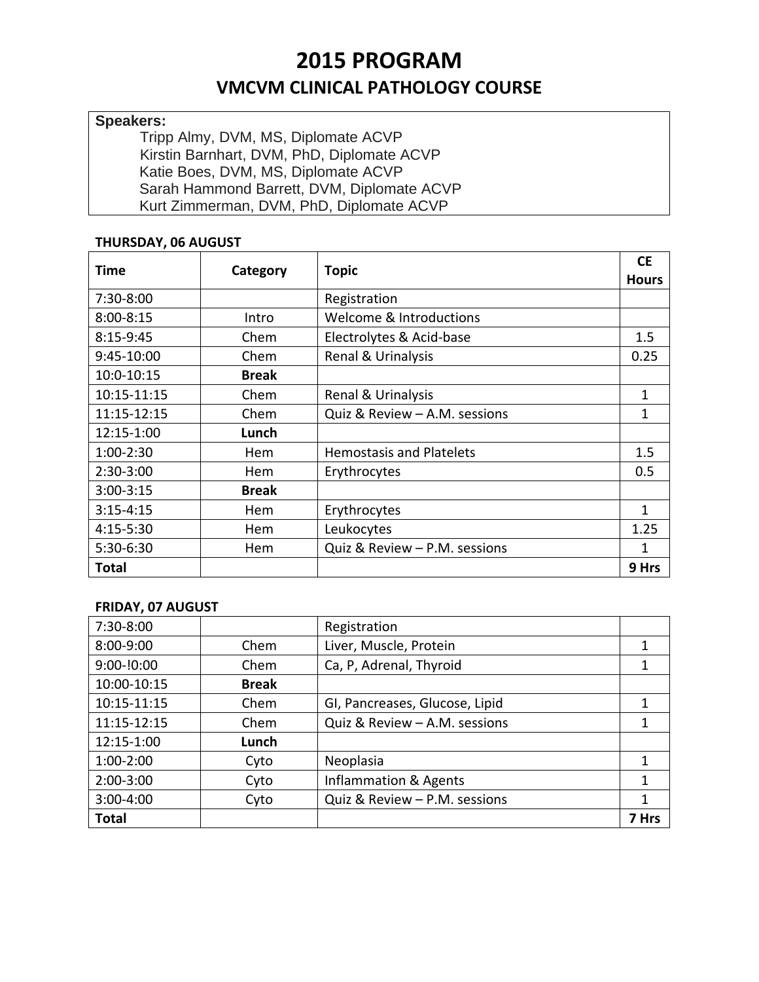# **2015 PROGRAM**

## **VMCVM CLINICAL PATHOLOGY COURSE**

#### **Speakers:**

Tripp Almy, DVM, MS, Diplomate ACVP Kirstin Barnhart, DVM, PhD, Diplomate ACVP Katie Boes, DVM, MS, Diplomate ACVP Sarah Hammond Barrett, DVM, Diplomate ACVP Kurt Zimmerman, DVM, PhD, Diplomate ACVP

#### **THURSDAY, 06 AUGUST**

| Time          | Category     | <b>Topic</b>                    | <b>CE</b>    |
|---------------|--------------|---------------------------------|--------------|
|               |              |                                 | <b>Hours</b> |
| 7:30-8:00     |              | Registration                    |              |
| $8:00 - 8:15$ | Intro        | Welcome & Introductions         |              |
| 8:15-9:45     | Chem         | Electrolytes & Acid-base        | 1.5          |
| 9:45-10:00    | Chem         | Renal & Urinalysis              | 0.25         |
| 10:0-10:15    | <b>Break</b> |                                 |              |
| 10:15-11:15   | Chem         | Renal & Urinalysis              | 1            |
| 11:15-12:15   | Chem         | Quiz & Review - A.M. sessions   | 1            |
| 12:15-1:00    | Lunch        |                                 |              |
| $1:00-2:30$   | Hem          | <b>Hemostasis and Platelets</b> | 1.5          |
| 2:30-3:00     | Hem          | Erythrocytes                    | 0.5          |
| $3:00-3:15$   | <b>Break</b> |                                 |              |
| $3:15 - 4:15$ | Hem          | Erythrocytes                    | 1            |
| 4:15-5:30     | Hem          | Leukocytes                      | 1.25         |
| 5:30-6:30     | Hem          | Quiz & Review - P.M. sessions   | 1            |
| <b>Total</b>  |              |                                 | 9 Hrs        |

#### **FRIDAY, 07 AUGUST**

| 7:30-8:00     |              | Registration                     |       |
|---------------|--------------|----------------------------------|-------|
| 8:00-9:00     | Chem         | Liver, Muscle, Protein           | 1     |
| $9:00-10:00$  | Chem         | Ca, P, Adrenal, Thyroid          | 1     |
| 10:00-10:15   | <b>Break</b> |                                  |       |
| 10:15-11:15   | Chem         | GI, Pancreases, Glucose, Lipid   | 1     |
| 11:15-12:15   | Chem         | Quiz & Review - A.M. sessions    | 1     |
| 12:15-1:00    | Lunch        |                                  |       |
| $1:00-2:00$   | Cyto         | Neoplasia                        | 1     |
| $2:00-3:00$   | Cyto         | <b>Inflammation &amp; Agents</b> | 1     |
| $3:00 - 4:00$ | Cyto         | Quiz & Review - P.M. sessions    | 1     |
| <b>Total</b>  |              |                                  | 7 Hrs |